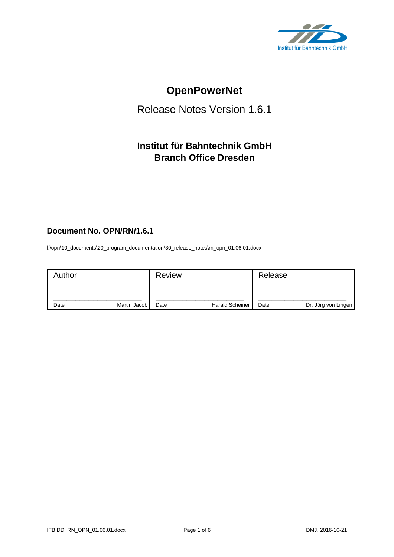

# **OpenPowerNet**

# Release Notes Version 1.6.1

# **Institut für Bahntechnik GmbH Branch Office Dresden**

# **Document No. OPN/RN/1.6.1**

l:\opn\10\_documents\20\_program\_documentation\30\_release\_notes\rn\_opn\_01.06.01.docx

| Author |              | <b>Review</b> |                        | Release |                     |
|--------|--------------|---------------|------------------------|---------|---------------------|
| Date   | Martin Jacob | Date          | <b>Harald Scheiner</b> | Date    | Dr. Jörg von Lingen |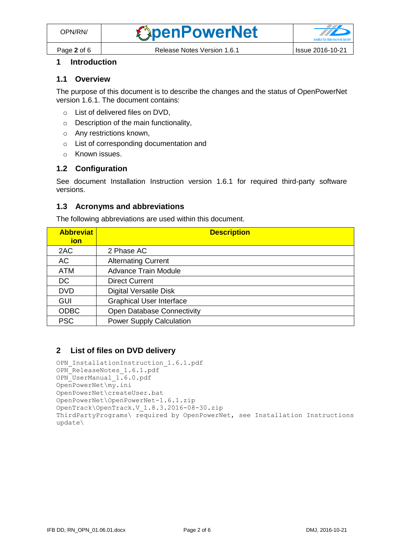

# **1 Introduction**

### **1.1 Overview**

The purpose of this document is to describe the changes and the status of OpenPowerNet version 1.6.1. The document contains:

- o List of delivered files on DVD,
- o Description of the main functionality,
- o Any restrictions known,
- o List of corresponding documentation and
- o Known issues.

### **1.2 Configuration**

See document Installation Instruction version 1.6.1 for required third-party software versions.

#### **1.3 Acronyms and abbreviations**

The following abbreviations are used within this document.

| <b>Abbreviat</b><br>ion | <b>Description</b>                |
|-------------------------|-----------------------------------|
| 2AC                     | 2 Phase AC                        |
| AC                      | <b>Alternating Current</b>        |
| <b>ATM</b>              | <b>Advance Train Module</b>       |
| DC                      | <b>Direct Current</b>             |
| <b>DVD</b>              | <b>Digital Versatile Disk</b>     |
| <b>GUI</b>              | <b>Graphical User Interface</b>   |
| <b>ODBC</b>             | <b>Open Database Connectivity</b> |
| <b>PSC</b>              | <b>Power Supply Calculation</b>   |

# **2 List of files on DVD delivery**

```
OPN InstallationInstruction 1.6.1.pdf
OPN_ReleaseNotes_1.6.1.pdf
OPN_UserManual_1.6.0.pdf
OpenPowerNet\my.ini
OpenPowerNet\createUser.bat
OpenPowerNet\OpenPowerNet-1.6.1.zip
OpenTrack\OpenTrack.V_1.8.3.2016-08-30.zip
ThirdPartyPrograms\ required by OpenPowerNet, see Installation Instructions
update\
```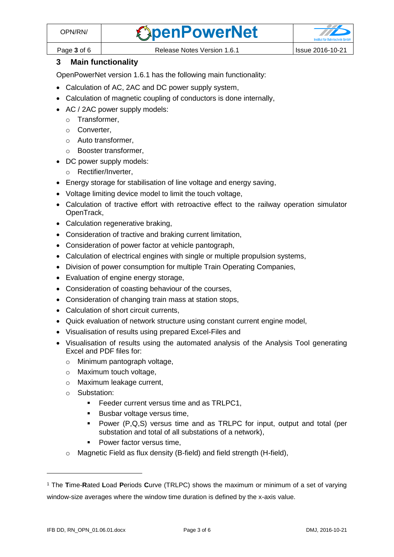

Page **3** of 6 Release Notes Version 1.6.1 Issue 2016-10-21

# **3 Main functionality**

OpenPowerNet version 1.6.1 has the following main functionality:

- Calculation of AC, 2AC and DC power supply system,
- Calculation of magnetic coupling of conductors is done internally,
- AC / 2AC power supply models:
	- o Transformer,
	- o Converter,
	- o Auto transformer,
	- o Booster transformer,
- DC power supply models:
	- o Rectifier/Inverter,
- Energy storage for stabilisation of line voltage and energy saving,
- Voltage limiting device model to limit the touch voltage,
- Calculation of tractive effort with retroactive effect to the railway operation simulator OpenTrack,
- Calculation regenerative braking,
- Consideration of tractive and braking current limitation,
- Consideration of power factor at vehicle pantograph,
- Calculation of electrical engines with single or multiple propulsion systems,
- Division of power consumption for multiple Train Operating Companies,
- Evaluation of engine energy storage,
- Consideration of coasting behaviour of the courses,
- Consideration of changing train mass at station stops,
- Calculation of short circuit currents,
- Quick evaluation of network structure using constant current engine model,
- Visualisation of results using prepared Excel-Files and
- <span id="page-2-0"></span>• Visualisation of results using the automated analysis of the Analysis Tool generating Excel and PDF files for:
	- o Minimum pantograph voltage,
	- o Maximum touch voltage,
	- o Maximum leakage current,
	- o Substation:
		- **Feeder current versus time and as TRLPC1,**
		- Busbar voltage versus time,
		- Power (P,Q,S) versus time and as TRLPC for input, output and total (per substation and total of all substations of a network),
		- Power factor versus time,
	- o Magnetic Field as flux density (B-field) and field strength (H-field),

 $\overline{a}$ 

<sup>1</sup> The **T**ime-**R**ated **L**oad **P**eriods **C**urve (TRLPC) shows the maximum or minimum of a set of varying window-size averages where the window time duration is defined by the x-axis value.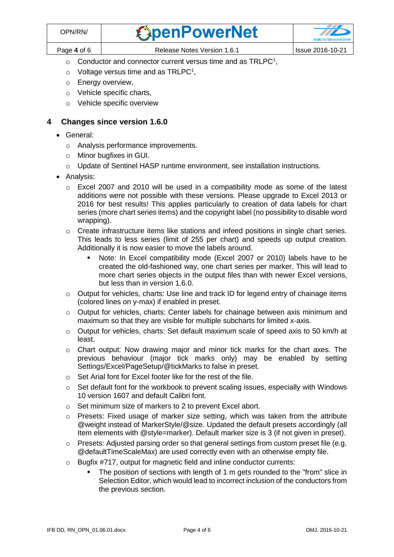| OPN/RN/     | <b><i><u>SpenPowerNet</u></i></b> |                         |
|-------------|-----------------------------------|-------------------------|
| Page 4 of 6 | Release Notes Version 1.6.1       | <b>Issue 2016-10-21</b> |

- $\circ$  [C](#page-2-0)onductor and connector current versus time and as TRLPC<sup>1</sup>,
- $\circ$  Voltage versus time and as TRLPC<sup>[1](#page-2-0)</sup>,
- o Energy overview,
- o Vehicle specific charts,
- o Vehicle specific overview

## **4 Changes since version 1.6.0**

- General:
	- o Analysis performance improvements.
	- o Minor bugfixes in GUI.
	- $\circ$  Update of Sentinel HASP runtime environment, see installation instructions.
- Analysis:
	- o Excel 2007 and 2010 will be used in a compatibility mode as some of the latest additions were not possible with these versions. Please upgrade to Excel 2013 or 2016 for best results! This applies particularly to creation of data labels for chart series (more chart series items) and the copyright label (no possibility to disable word wrapping).
	- o Create infrastructure items like stations and infeed positions in single chart series. This leads to less series (limit of 255 per chart) and speeds up output creation. Additionally it is now easier to move the labels around.
		- Note: In Excel compatibility mode (Excel 2007 or 2010) labels have to be created the old-fashioned way, one chart series per marker. This will lead to more chart series objects in the output files than with newer Excel versions, but less than in version 1.6.0.
	- $\circ$  Output for vehicles, charts: Use line and track ID for legend entry of chainage items (colored lines on y-max) if enabled in preset.
	- o Output for vehicles, charts: Center labels for chainage between axis minimum and maximum so that they are visible for multiple subcharts for limited x-axis.
	- $\circ$  Output for vehicles, charts: Set default maximum scale of speed axis to 50 km/h at least.
	- o Chart output: Now drawing major and minor tick marks for the chart axes. The previous behaviour (major tick marks only) may be enabled by setting Settings/Excel/PageSetup/@tickMarks to false in preset.
	- o Set Arial font for Excel footer like for the rest of the file.
	- $\circ$  Set default font for the workbook to prevent scaling issues, especially with Windows 10 version 1607 and default Calibri font.
	- o Set minimum size of markers to 2 to prevent Excel abort.
	- o Presets: Fixed usage of marker size setting, which was taken from the attribute @weight instead of MarkerStyle/@size. Updated the default presets accordingly (all Item elements with @style=marker). Default marker size is 3 (if not given in preset).
	- $\circ$  Presets: Adjusted parsing order so that general settings from custom preset file (e.g. @defaultTimeScaleMax) are used correctly even with an otherwise empty file.
	- o Bugfix #717, output for magnetic field and inline conductor currents:
		- The position of sections with length of 1 m gets rounded to the "from" slice in Selection Editor, which would lead to incorrect inclusion of the conductors from the previous section.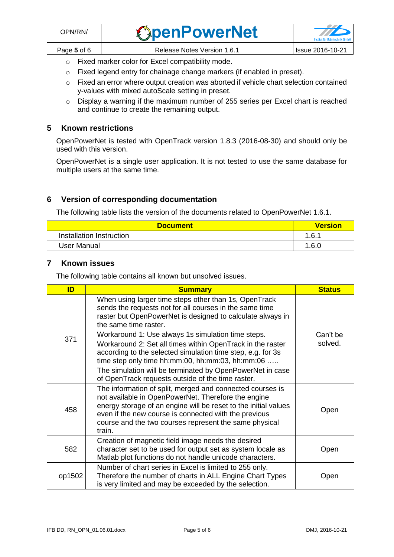o Fixed marker color for Excel compatibility mode.

- o Fixed legend entry for chainage change markers (if enabled in preset).
- o Fixed an error where output creation was aborted if vehicle chart selection contained y-values with mixed autoScale setting in preset.
- o Display a warning if the maximum number of 255 series per Excel chart is reached and continue to create the remaining output.

#### **5 Known restrictions**

OpenPowerNet is tested with OpenTrack version 1.8.3 (2016-08-30) and should only be used with this version.

OpenPowerNet is a single user application. It is not tested to use the same database for multiple users at the same time.

# **6 Version of corresponding documentation**

The following table lists the version of the documents related to OpenPowerNet 1.6.1.

| <b>Document</b>          | <b>Version</b> |
|--------------------------|----------------|
| Installation Instruction | 1.6.1          |
| User Manual              | 1.6.0          |

#### **7 Known issues**

The following table contains all known but unsolved issues.

| ID     | <b>Summary</b>                                                                                                                                                                                                                                                                                                   | <b>Status</b>       |
|--------|------------------------------------------------------------------------------------------------------------------------------------------------------------------------------------------------------------------------------------------------------------------------------------------------------------------|---------------------|
| 371    | When using larger time steps other than 1s, OpenTrack<br>sends the requests not for all courses in the same time<br>raster but OpenPowerNet is designed to calculate always in<br>the same time raster.                                                                                                          |                     |
|        | Workaround 1: Use always 1s simulation time steps.<br>Workaround 2: Set all times within OpenTrack in the raster<br>according to the selected simulation time step, e.g. for 3s<br>time step only time $hh:mm:00$ , $hh:mm:03$ , $hh:mm:06$                                                                      | Can't be<br>solved. |
|        | The simulation will be terminated by OpenPowerNet in case<br>of OpenTrack requests outside of the time raster.                                                                                                                                                                                                   |                     |
| 458    | The information of split, merged and connected courses is<br>not available in OpenPowerNet. Therefore the engine<br>energy storage of an engine will be reset to the initial values<br>even if the new course is connected with the previous<br>course and the two courses represent the same physical<br>train. | Open                |
| 582    | Creation of magnetic field image needs the desired<br>character set to be used for output set as system locale as<br>Matlab plot functions do not handle unicode characters.                                                                                                                                     | Open                |
| op1502 | Number of chart series in Excel is limited to 255 only.<br>Therefore the number of charts in ALL Engine Chart Types<br>is very limited and may be exceeded by the selection.                                                                                                                                     | Open                |